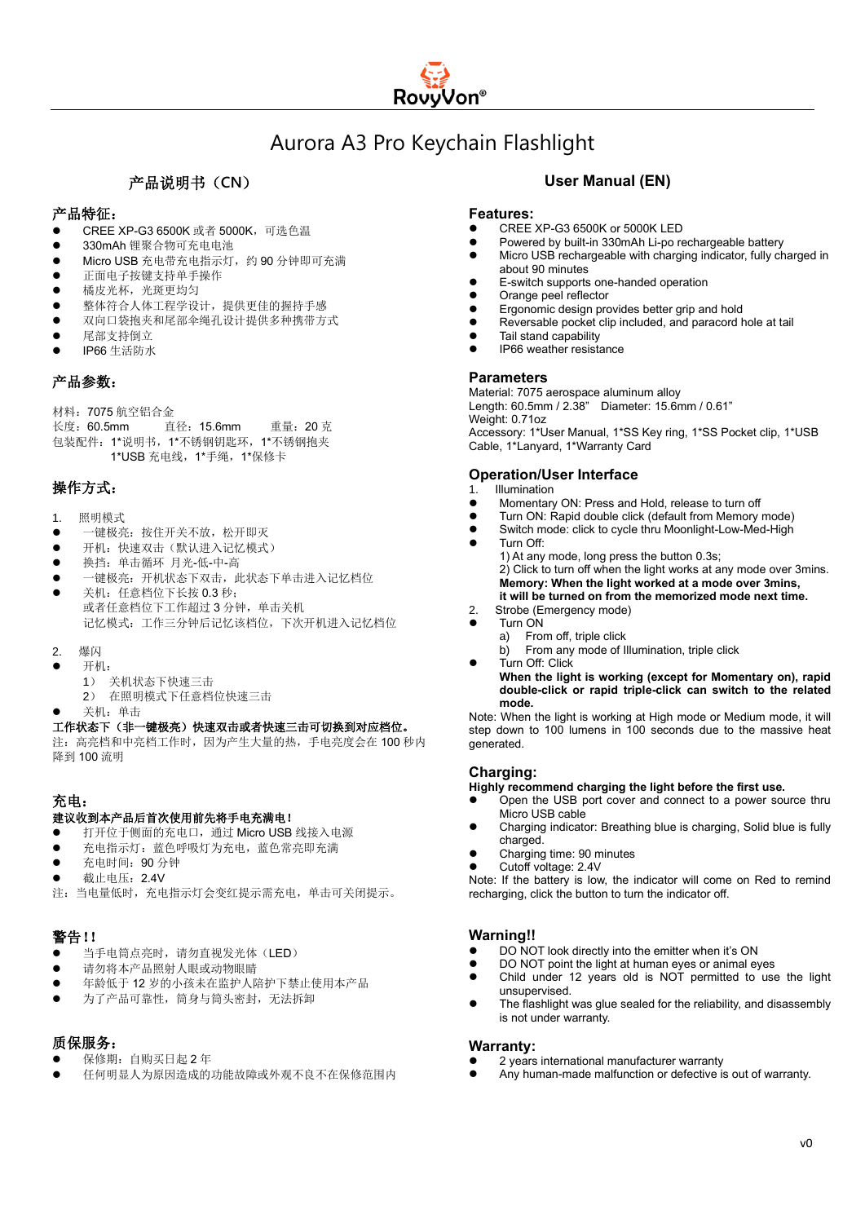# Aurora A3 Pro Keychain Flashlight

# 产品说明书(**CN**)

# 产品特征:

- ⚫ CREE XP-G3 6500K 或者 5000K,可选色温
- ⚫ 330mAh 锂聚合物可充电电池
- Micro USB 充电带充电指示灯,约 90 分钟即可充满
- ⚫ 正面电子按键支持单手操作
- 橘皮光杯,光斑更均匀
- ⚫ 整体符合人体工程学设计,提供更佳的握持手感
- ⚫ 双向口袋抱夹和尾部伞绳孔设计提供多种携带方式
- ⚫ 尾部支持倒立
- ⚫ IP66 生活防水

## 产品参数:

材料:7075 航空铝合金

长度:60.5mm 直径:15.6mm 重量:20 克 包装配件:1\*说明书,1\*不锈钢钥匙环,1\*不锈钢抱夹 1\*USB 充电线,1\*手绳,1\*保修卡

## 操作方式:

- 1. 照明模式
- ⚫ 一键极亮:按住开关不放,松开即灭
- 开机:快速双击(默认进入记忆模式)
- ⚫ 换挡:单击循环 月光-低-中-高
- ⚫ 一键极亮:开机状态下双击,此状态下单击进入记忆档位 关机: 任意档位下长按 0.3 秒; 或者任意档位下工作超过 3 分钟,单击关机
	- 记忆模式:工作三分钟后记忆该档位,下次开机进入记忆档位
- 2. 爆闪
	- ⚫ 开机:
		- 1) 关机状态下快速三击 2) 在照明模式下任意档位快速三击
- ⚫ 关机:单击

### 工作状态下(非一键极亮)快速双击或者快速三击可切换到对应档位。

注:高亮档和中亮档工作时,因为产生大量的热,手电亮度会在 100 秒内 降到 100 流明

# 充电:

#### 建议收到本产品后首次使用前先将手电充满电!

- 打开位于侧面的充电口,通过 Micro USB 线接入电源
- 充电指示灯: 蓝色呼吸灯为充电, 蓝色常亮即充满
- 充电时间: 90 分钟
- 截止电压: 2.4V
- 注:当电量低时,充电指示灯会变红提示需充电,单击可关闭提示。

# 警告!!

- 当手电筒点亮时,请勿直视发光体(LED)
- 请勿将本产品照射人眼或动物眼睛
- 年龄低于12岁的小孩未在监护人陪护下禁止使用本产品
- 为了产品可靠性, 筒身与筒头密封, 无法拆卸

# 质保服务:

- 保修期: 白购买日起 2 年
- ⚫ 任何明显人为原因造成的功能故障或外观不良不在保修范围内

# **User Manual (EN)**

#### **Features:**

- ⚫ CREE XP-G3 6500K or 5000K LED
- ⚫ Powered by built-in 330mAh Li-po rechargeable battery
- Micro USB rechargeable with charging indicator, fully charged in about 90 minutes
- ⚫ E-switch supports one-handed operation
- ⚫ Orange peel reflector
- ⚫ Ergonomic design provides better grip and hold
- ⚫ Reversable pocket clip included, and paracord hole at tail
- ⚫ Tail stand capability
- ⚫ IP66 weather resistance

#### **Parameters**

Material: 7075 aerospace aluminum alloy Length: 60.5mm / 2.38" Diameter: 15.6mm / 0.61" Weight: 0.71oz Accessory: 1\*User Manual, 1\*SS Key ring, 1\*SS Pocket clip, 1\*USB Cable, 1\*Lanyard, 1\*Warranty Card

#### **Operation/User Interface**

- 1. Illumination
- Momentary ON: Press and Hold, release to turn off
- Turn ON: Rapid double click (default from Memory mode)
- Switch mode: click to cycle thru Moonlight-Low-Med-High
- Turn Off: 1) At any mode, long press the button 0.3s; 2) Click to turn off when the light works at any mode over 3mins. **Memory: When the light worked at a mode over 3mins, it will be turned on from the memorized mode next time.**
- 2. Strobe (Emergency mode)
	- Turn ON<br>a) From
		- From off, triple click b) From any mode of Illumination, triple click
- Turn Off: Click

**When the light is working (except for Momentary on), rapid double-click or rapid triple-click can switch to the related mode.**

Note: When the light is working at High mode or Medium mode, it will step down to 100 lumens in 100 seconds due to the massive heat generated.

## **Charging:**

**Highly recommend charging the light before the first use.** 

- ⚫ Open the USB port cover and connect to a power source thru Micro USB cable
- ⚫ Charging indicator: Breathing blue is charging, Solid blue is fully charged.
- ⚫ Charging time: 90 minutes
- ⚫ Cutoff voltage: 2.4V

Note: If the battery is low, the indicator will come on Red to remind recharging, click the button to turn the indicator off.

### **Warning!!**

- ⚫ DO NOT look directly into the emitter when it's ON
- ⚫ DO NOT point the light at human eyes or animal eyes
- ⚫ Child under 12 years old is NOT permitted to use the light unsupervised.
- The flashlight was glue sealed for the reliability, and disassembly is not under warranty.

#### **Warranty:**

- ⚫ 2 years international manufacturer warranty
- Any human-made malfunction or defective is out of warranty.